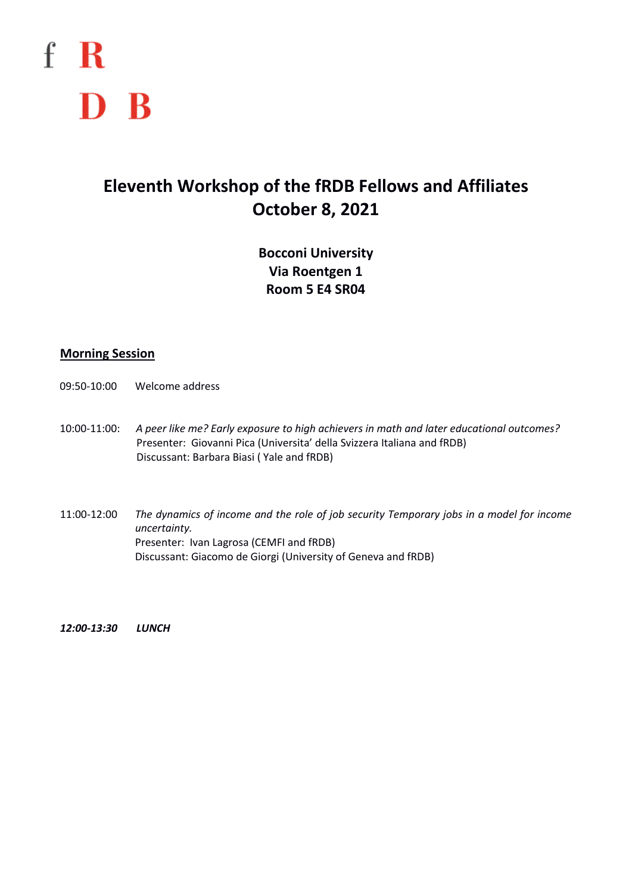

## **Eleventh Workshop of the fRDB Fellows and Affiliates October 8, 2021**

**Bocconi University Via Roentgen 1 Room 5 E4 SR04**

## **Morning Session**

- 09:50-10:00 Welcome address
- 10:00-11:00: *A peer like me? Early exposure to high achievers in math and later educational outcomes?* Presenter: Giovanni Pica (Universita' della Svizzera Italiana and fRDB) Discussant: Barbara Biasi ( Yale and fRDB)
- 11:00-12:00 *The dynamics of income and the role of job security Temporary jobs in a model for income uncertainty.* Presenter: Ivan Lagrosa (CEMFI and fRDB) Discussant: Giacomo de Giorgi (University of Geneva and fRDB)

*12:00-13:30 LUNCH*